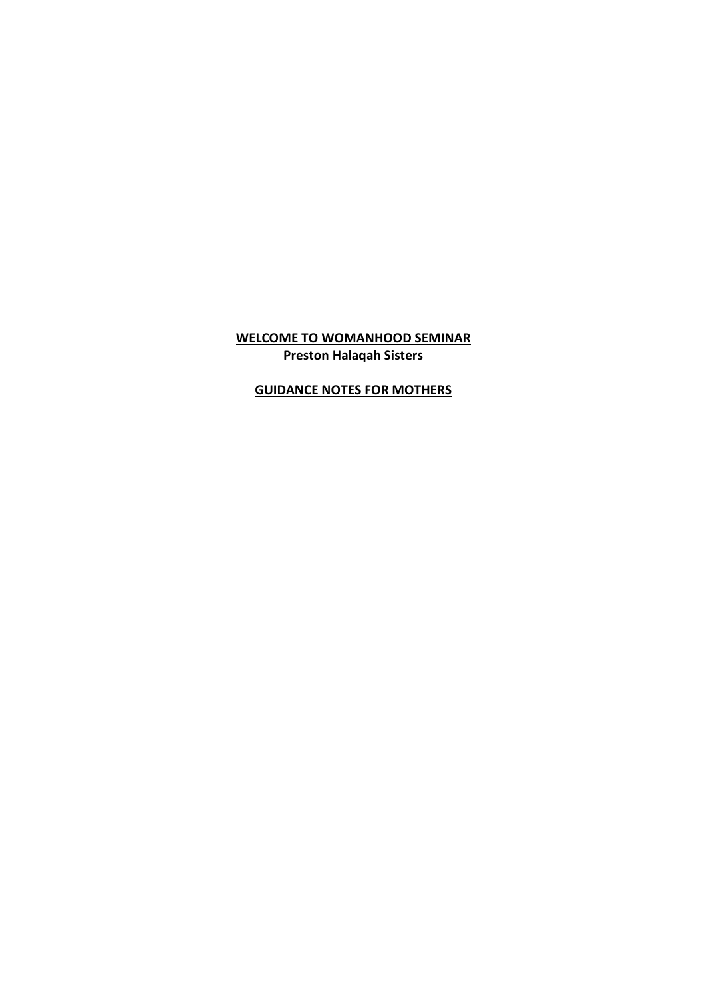## **WELCOME TO WOMANHOOD SEMINAR Preston Halaqah Sisters**

## **GUIDANCE NOTES FOR MOTHERS**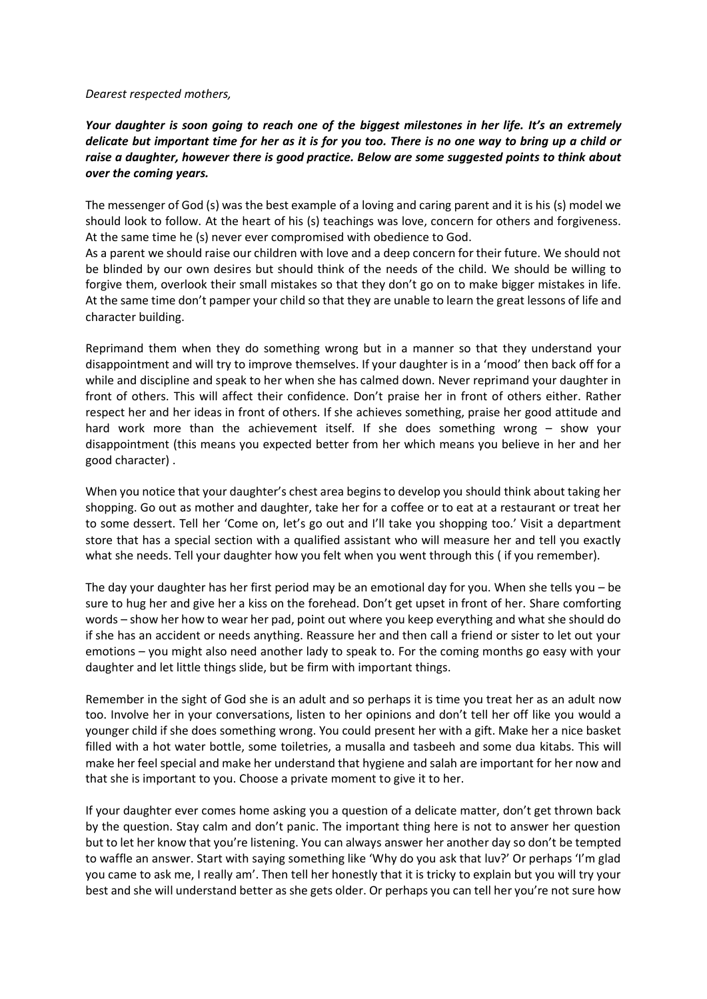*Dearest respected mothers,* 

*Your daughter is soon going to reach one of the biggest milestones in her life. It's an extremely delicate but important time for her as it is for you too. There is no one way to bring up a child or raise a daughter, however there is good practice. Below are some suggested points to think about over the coming years.* 

The messenger of God (s) was the best example of a loving and caring parent and it is his (s) model we should look to follow. At the heart of his (s) teachings was love, concern for others and forgiveness. At the same time he (s) never ever compromised with obedience to God.

As a parent we should raise our children with love and a deep concern for their future. We should not be blinded by our own desires but should think of the needs of the child. We should be willing to forgive them, overlook their small mistakes so that they don't go on to make bigger mistakes in life. At the same time don't pamper your child so that they are unable to learn the great lessons of life and character building.

Reprimand them when they do something wrong but in a manner so that they understand your disappointment and will try to improve themselves. If your daughter is in a 'mood' then back off for a while and discipline and speak to her when she has calmed down. Never reprimand your daughter in front of others. This will affect their confidence. Don't praise her in front of others either. Rather respect her and her ideas in front of others. If she achieves something, praise her good attitude and hard work more than the achievement itself. If she does something wrong – show your disappointment (this means you expected better from her which means you believe in her and her good character) .

When you notice that your daughter's chest area begins to develop you should think about taking her shopping. Go out as mother and daughter, take her for a coffee or to eat at a restaurant or treat her to some dessert. Tell her 'Come on, let's go out and I'll take you shopping too.' Visit a department store that has a special section with a qualified assistant who will measure her and tell you exactly what she needs. Tell your daughter how you felt when you went through this ( if you remember).

The day your daughter has her first period may be an emotional day for you. When she tells you – be sure to hug her and give her a kiss on the forehead. Don't get upset in front of her. Share comforting words – show her how to wear her pad, point out where you keep everything and what she should do if she has an accident or needs anything. Reassure her and then call a friend or sister to let out your emotions – you might also need another lady to speak to. For the coming months go easy with your daughter and let little things slide, but be firm with important things.

Remember in the sight of God she is an adult and so perhaps it is time you treat her as an adult now too. Involve her in your conversations, listen to her opinions and don't tell her off like you would a younger child if she does something wrong. You could present her with a gift. Make her a nice basket filled with a hot water bottle, some toiletries, a musalla and tasbeeh and some dua kitabs. This will make her feel special and make her understand that hygiene and salah are important for her now and that she is important to you. Choose a private moment to give it to her.

If your daughter ever comes home asking you a question of a delicate matter, don't get thrown back by the question. Stay calm and don't panic. The important thing here is not to answer her question but to let her know that you're listening. You can always answer her another day so don't be tempted to waffle an answer. Start with saying something like 'Why do you ask that luv?' Or perhaps 'I'm glad you came to ask me, I really am'. Then tell her honestly that it is tricky to explain but you will try your best and she will understand better as she gets older. Or perhaps you can tell her you're not sure how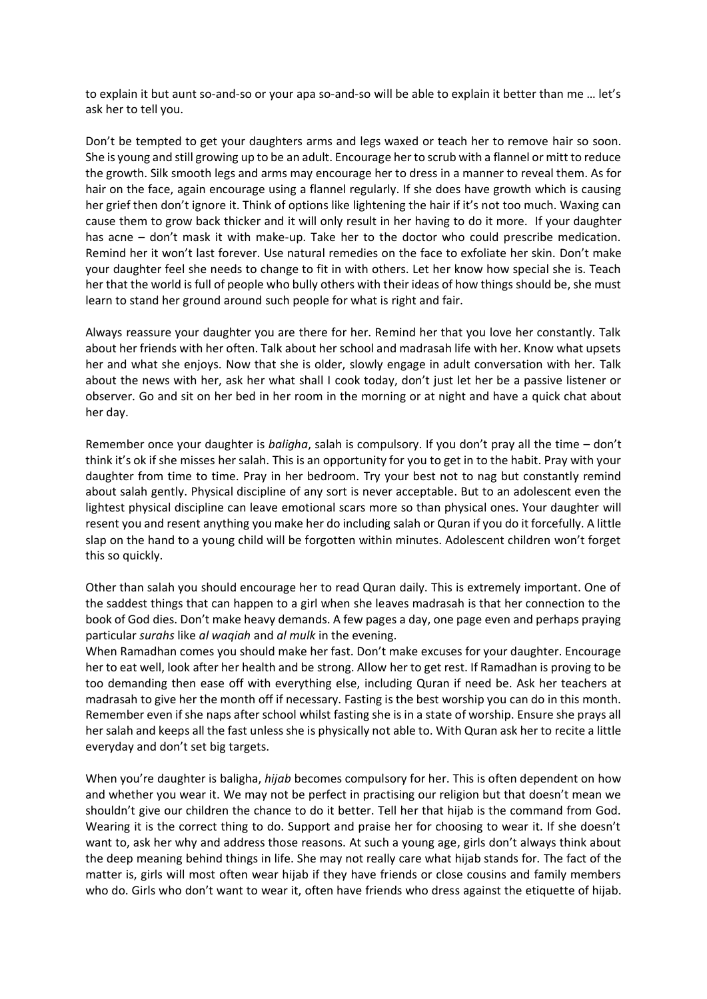to explain it but aunt so-and-so or your apa so-and-so will be able to explain it better than me … let's ask her to tell you.

Don't be tempted to get your daughters arms and legs waxed or teach her to remove hair so soon. She is young and still growing up to be an adult. Encourage her to scrub with a flannel or mitt to reduce the growth. Silk smooth legs and arms may encourage her to dress in a manner to reveal them. As for hair on the face, again encourage using a flannel regularly. If she does have growth which is causing her grief then don't ignore it. Think of options like lightening the hair if it's not too much. Waxing can cause them to grow back thicker and it will only result in her having to do it more. If your daughter has acne – don't mask it with make-up. Take her to the doctor who could prescribe medication. Remind her it won't last forever. Use natural remedies on the face to exfoliate her skin. Don't make your daughter feel she needs to change to fit in with others. Let her know how special she is. Teach her that the world is full of people who bully others with their ideas of how things should be, she must learn to stand her ground around such people for what is right and fair.

Always reassure your daughter you are there for her. Remind her that you love her constantly. Talk about her friends with her often. Talk about her school and madrasah life with her. Know what upsets her and what she enjoys. Now that she is older, slowly engage in adult conversation with her. Talk about the news with her, ask her what shall I cook today, don't just let her be a passive listener or observer. Go and sit on her bed in her room in the morning or at night and have a quick chat about her day.

Remember once your daughter is *baligha*, salah is compulsory. If you don't pray all the time – don't think it's ok if she misses her salah. This is an opportunity for you to get in to the habit. Pray with your daughter from time to time. Pray in her bedroom. Try your best not to nag but constantly remind about salah gently. Physical discipline of any sort is never acceptable. But to an adolescent even the lightest physical discipline can leave emotional scars more so than physical ones. Your daughter will resent you and resent anything you make her do including salah or Quran if you do it forcefully. A little slap on the hand to a young child will be forgotten within minutes. Adolescent children won't forget this so quickly.

Other than salah you should encourage her to read Quran daily. This is extremely important. One of the saddest things that can happen to a girl when she leaves madrasah is that her connection to the book of God dies. Don't make heavy demands. A few pages a day, one page even and perhaps praying particular *surahs* like *al waqiah* and *al mulk* in the evening.

When Ramadhan comes you should make her fast. Don't make excuses for your daughter. Encourage her to eat well, look after her health and be strong. Allow her to get rest. If Ramadhan is proving to be too demanding then ease off with everything else, including Quran if need be. Ask her teachers at madrasah to give her the month off if necessary. Fasting is the best worship you can do in this month. Remember even if she naps after school whilst fasting she is in a state of worship. Ensure she prays all her salah and keeps all the fast unless she is physically not able to. With Quran ask her to recite a little everyday and don't set big targets.

When you're daughter is baligha, *hijab* becomes compulsory for her. This is often dependent on how and whether you wear it. We may not be perfect in practising our religion but that doesn't mean we shouldn't give our children the chance to do it better. Tell her that hijab is the command from God. Wearing it is the correct thing to do. Support and praise her for choosing to wear it. If she doesn't want to, ask her why and address those reasons. At such a young age, girls don't always think about the deep meaning behind things in life. She may not really care what hijab stands for. The fact of the matter is, girls will most often wear hijab if they have friends or close cousins and family members who do. Girls who don't want to wear it, often have friends who dress against the etiquette of hijab.